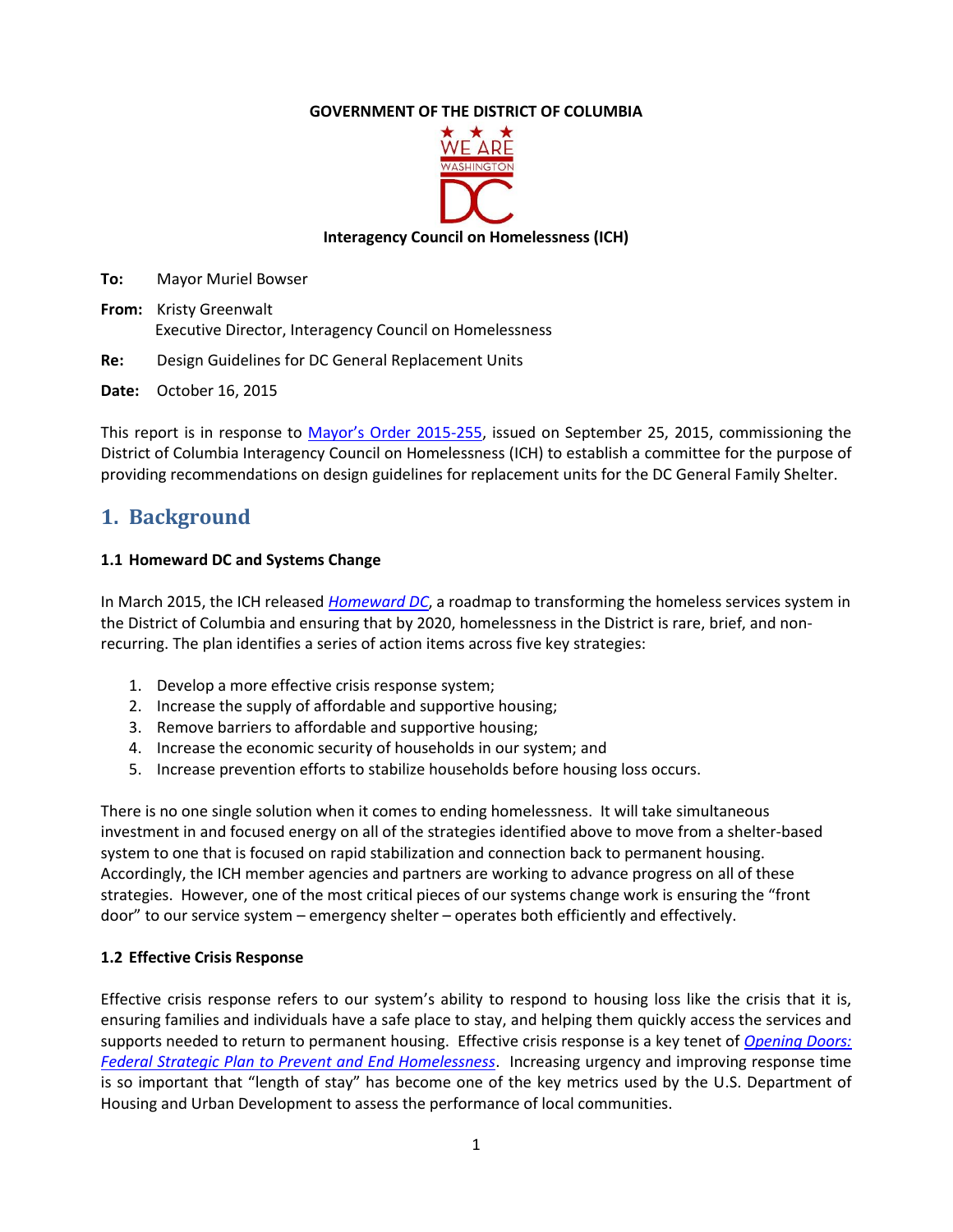### **GOVERNMENT OF THE DISTRICT OF COLUMBIA**



**Interagency Council on Homelessness (ICH)** 

**To:** Mayor Muriel Bowser

**From:** Kristy Greenwalt Executive Director, Interagency Council on Homelessness

**Re:** Design Guidelines for DC General Replacement Units

**Date:** October 16, 2015

This report is in response to [Mayor's Order 2015](http://ich.dc.gov/sites/default/files/dc/sites/ich/page_content/attachments/Design%20Guidelines%20_Order%20Establishing%20Committee.pdf)-255, issued on September 25, 2015, commissioning the District of Columbia Interagency Council on Homelessness (ICH) to establish a committee for the purpose of providing recommendations on design guidelines for replacement units for the DC General Family Shelter.

# **1. Background**

#### **1.1 Homeward DC and Systems Change**

In March 2015, the ICH released *[Homeward DC](http://ich.dc.gov/page/homeward-dc-ich-strategic-plan-2015-2020)*, a roadmap to transforming the homeless services system in the District of Columbia and ensuring that by 2020, homelessness in the District is rare, brief, and nonrecurring. The plan identifies a series of action items across five key strategies:

- 1. Develop a more effective crisis response system;
- 2. Increase the supply of affordable and supportive housing;
- 3. Remove barriers to affordable and supportive housing;
- 4. Increase the economic security of households in our system; and
- 5. Increase prevention efforts to stabilize households before housing loss occurs.

There is no one single solution when it comes to ending homelessness. It will take simultaneous investment in and focused energy on all of the strategies identified above to move from a shelter-based system to one that is focused on rapid stabilization and connection back to permanent housing. Accordingly, the ICH member agencies and partners are working to advance progress on all of these strategies. However, one of the most critical pieces of our systems change work is ensuring the "front door" to our service system – emergency shelter – operates both efficiently and effectively.

#### **1.2 Effective Crisis Response**

Effective crisis response refers to our system's ability to respond to housing loss like the crisis that it is, ensuring families and individuals have a safe place to stay, and helping them quickly access the services and supports needed to return to permanent housing. Effective crisis response is a key tenet of *[Opening Doors:](http://usich.gov/opening_doors/)  [Federal Strategic Plan to Prevent and End Homelessness](http://usich.gov/opening_doors/)*. Increasing urgency and improving response time is so important that "length of stay" has become one of the key metrics used by the U.S. Department of Housing and Urban Development to assess the performance of local communities.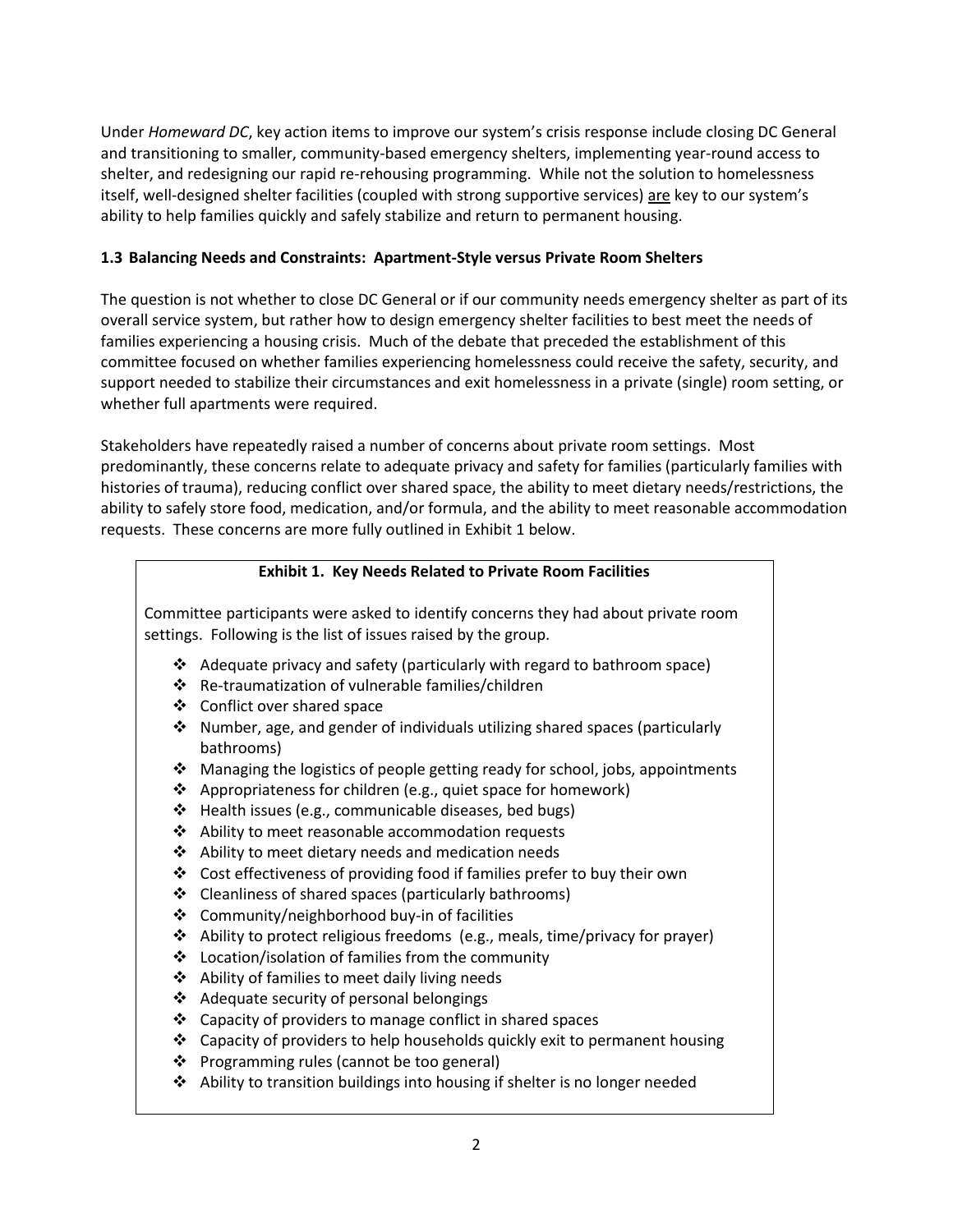Under *Homeward DC*, key action items to improve our system's crisis response include closing DC General and transitioning to smaller, community-based emergency shelters, implementing year-round access to shelter, and redesigning our rapid re-rehousing programming. While not the solution to homelessness itself, well-designed shelter facilities (coupled with strong supportive services) are key to our system's ability to help families quickly and safely stabilize and return to permanent housing.

#### **1.3 Balancing Needs and Constraints: Apartment-Style versus Private Room Shelters**

The question is not whether to close DC General or if our community needs emergency shelter as part of its overall service system, but rather how to design emergency shelter facilities to best meet the needs of families experiencing a housing crisis. Much of the debate that preceded the establishment of this committee focused on whether families experiencing homelessness could receive the safety, security, and support needed to stabilize their circumstances and exit homelessness in a private (single) room setting, or whether full apartments were required.

Stakeholders have repeatedly raised a number of concerns about private room settings. Most predominantly, these concerns relate to adequate privacy and safety for families (particularly families with histories of trauma), reducing conflict over shared space, the ability to meet dietary needs/restrictions, the ability to safely store food, medication, and/or formula, and the ability to meet reasonable accommodation requests. These concerns are more fully outlined in Exhibit 1 below.

#### **Exhibit 1. Key Needs Related to Private Room Facilities**

Committee participants were asked to identify concerns they had about private room settings. Following is the list of issues raised by the group.

- Adequate privacy and safety (particularly with regard to bathroom space)
- Re-traumatization of vulnerable families/children
- ❖ Conflict over shared space
- Number, age, and gender of individuals utilizing shared spaces (particularly bathrooms)
- Managing the logistics of people getting ready for school, jobs, appointments
- $\triangle$  Appropriateness for children (e.g., quiet space for homework)
- Health issues (e.g., communicable diseases, bed bugs)
- ❖ Ability to meet reasonable accommodation requests
- $\triangleleft$  Ability to meet dietary needs and medication needs
- Cost effectiveness of providing food if families prefer to buy their own
- Cleanliness of shared spaces (particularly bathrooms)
- Community/neighborhood buy-in of facilities
- $\triangle$  Ability to protect religious freedoms (e.g., meals, time/privacy for prayer)
- Location/isolation of families from the community
- Ability of families to meet daily living needs
- ❖ Adequate security of personal belongings
- $\triangle$  Capacity of providers to manage conflict in shared spaces
- Capacity of providers to help households quickly exit to permanent housing
- ❖ Programming rules (cannot be too general)
- $\triangle$  Ability to transition buildings into housing if shelter is no longer needed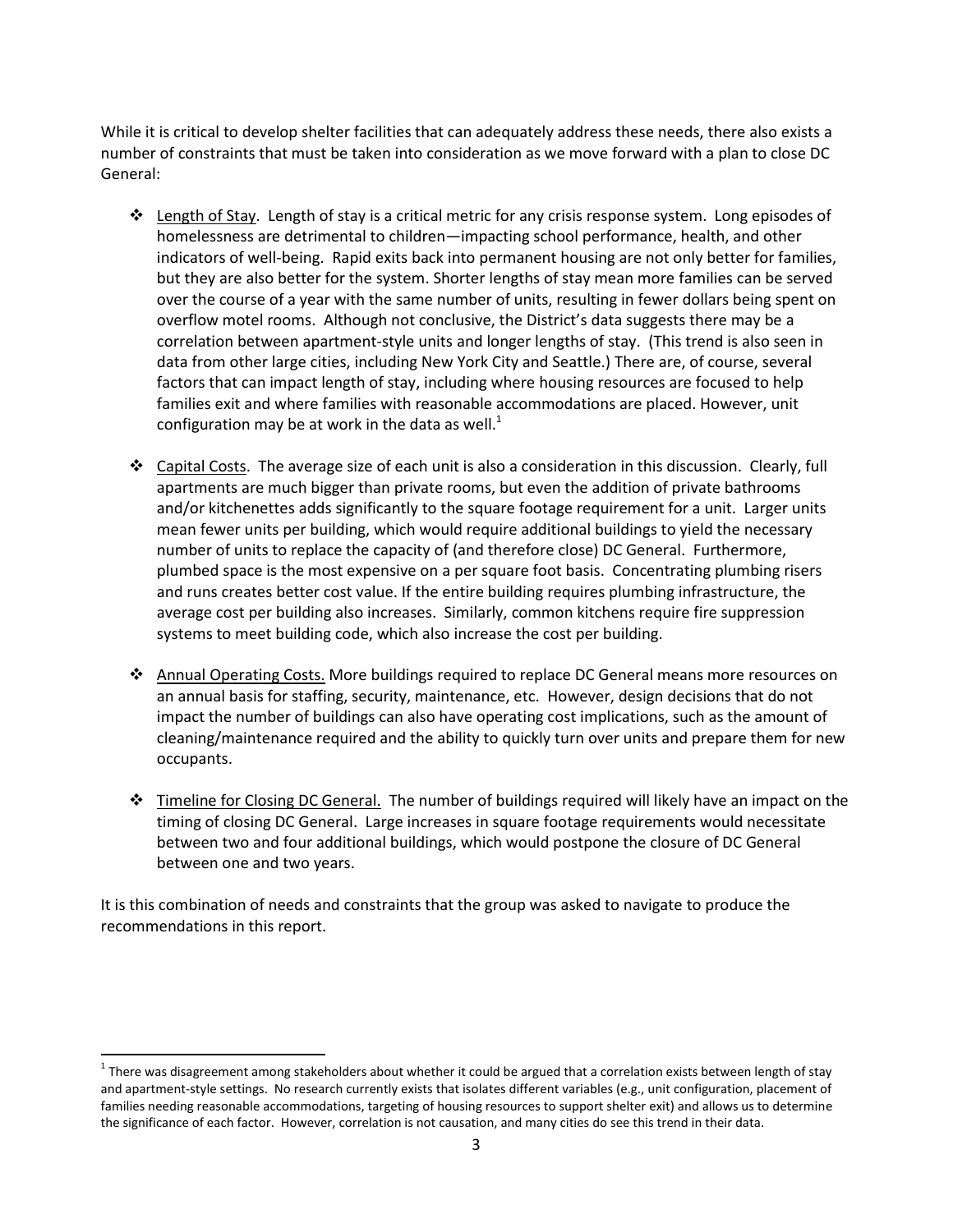While it is critical to develop shelter facilities that can adequately address these needs, there also exists a number of constraints that must be taken into consideration as we move forward with a plan to close DC General:

- $\triangle$  Length of Stay. Length of stay is a critical metric for any crisis response system. Long episodes of homelessness are detrimental to children—impacting school performance, health, and other indicators of well-being. Rapid exits back into permanent housing are not only better for families, but they are also better for the system. Shorter lengths of stay mean more families can be served over the course of a year with the same number of units, resulting in fewer dollars being spent on overflow motel rooms. Although not conclusive, the District's data suggests there may be a correlation between apartment-style units and longer lengths of stay. (This trend is also seen in data from other large cities, including New York City and Seattle.) There are, of course, several factors that can impact length of stay, including where housing resources are focused to help families exit and where families with reasonable accommodations are placed. However, unit configuration may be at work in the data as well.<sup>1</sup>
- $\div$  Capital Costs. The average size of each unit is also a consideration in this discussion. Clearly, full apartments are much bigger than private rooms, but even the addition of private bathrooms and/or kitchenettes adds significantly to the square footage requirement for a unit. Larger units mean fewer units per building, which would require additional buildings to yield the necessary number of units to replace the capacity of (and therefore close) DC General. Furthermore, plumbed space is the most expensive on a per square foot basis. Concentrating plumbing risers and runs creates better cost value. If the entire building requires plumbing infrastructure, the average cost per building also increases. Similarly, common kitchens require fire suppression systems to meet building code, which also increase the cost per building.
- ❖ Annual Operating Costs. More buildings required to replace DC General means more resources on an annual basis for staffing, security, maintenance, etc. However, design decisions that do not impact the number of buildings can also have operating cost implications, such as the amount of cleaning/maintenance required and the ability to quickly turn over units and prepare them for new occupants.
- $\div$  Timeline for Closing DC General. The number of buildings required will likely have an impact on the timing of closing DC General. Large increases in square footage requirements would necessitate between two and four additional buildings, which would postpone the closure of DC General between one and two years.

It is this combination of needs and constraints that the group was asked to navigate to produce the recommendations in this report.

 $\overline{a}$ 

 $1$ There was disagreement among stakeholders about whether it could be argued that a correlation exists between length of stay and apartment-style settings. No research currently exists that isolates different variables (e.g., unit configuration, placement of families needing reasonable accommodations, targeting of housing resources to support shelter exit) and allows us to determine the significance of each factor. However, correlation is not causation, and many cities do see this trend in their data.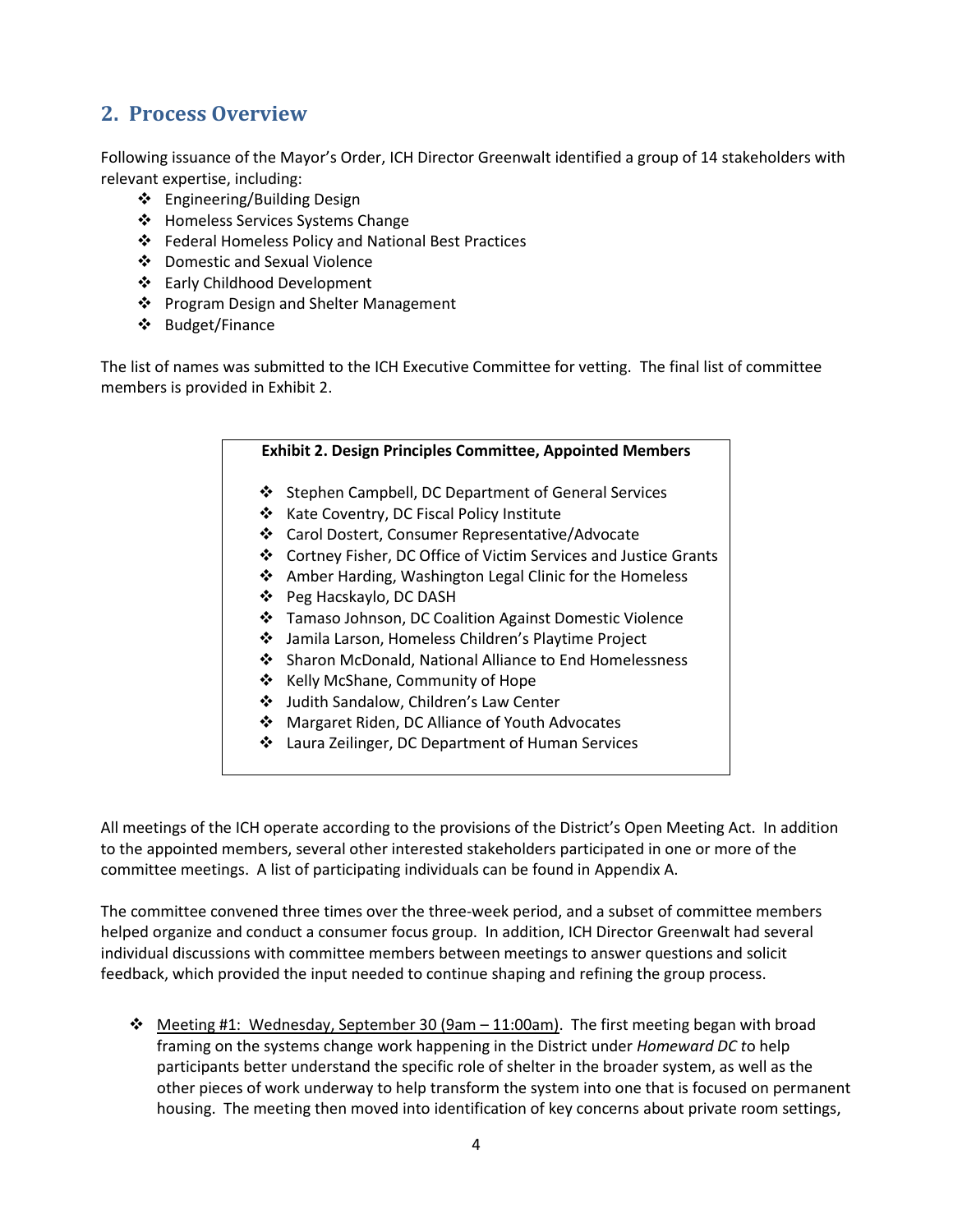# **2. Process Overview**

Following issuance of the Mayor's Order, ICH Director Greenwalt identified a group of 14 stakeholders with relevant expertise, including:

- Engineering/Building Design
- ❖ Homeless Services Systems Change
- Federal Homeless Policy and National Best Practices
- Domestic and Sexual Violence
- Early Childhood Development
- ❖ Program Design and Shelter Management
- Budget/Finance

The list of names was submitted to the ICH Executive Committee for vetting. The final list of committee members is provided in Exhibit 2.

# **Exhibit 2. Design Principles Committee, Appointed Members** ❖ Stephen Campbell, DC Department of General Services ❖ Kate Coventry, DC Fiscal Policy Institute Carol Dostert, Consumer Representative/Advocate Cortney Fisher, DC Office of Victim Services and Justice Grants ❖ Amber Harding, Washington Legal Clinic for the Homeless Peg Hacskaylo, DC DASH Tamaso Johnson, DC Coalition Against Domestic Violence Jamila Larson, Homeless Children's Playtime Project ❖ Sharon McDonald, National Alliance to End Homelessness ❖ Kelly McShane, Community of Hope Judith Sandalow, Children's Law Center Margaret Riden, DC Alliance of Youth Advocates Laura Zeilinger, DC Department of Human Services

All meetings of the ICH operate according to the provisions of the District's Open Meeting Act. In addition to the appointed members, several other interested stakeholders participated in one or more of the committee meetings. A list of participating individuals can be found in Appendix A.

The committee convened three times over the three-week period, and a subset of committee members helped organize and conduct a consumer focus group. In addition, ICH Director Greenwalt had several individual discussions with committee members between meetings to answer questions and solicit feedback, which provided the input needed to continue shaping and refining the group process.

 $\div$  Meeting #1: Wednesday, September 30 (9am – 11:00am). The first meeting began with broad framing on the systems change work happening in the District under *Homeward DC t*o help participants better understand the specific role of shelter in the broader system, as well as the other pieces of work underway to help transform the system into one that is focused on permanent housing. The meeting then moved into identification of key concerns about private room settings,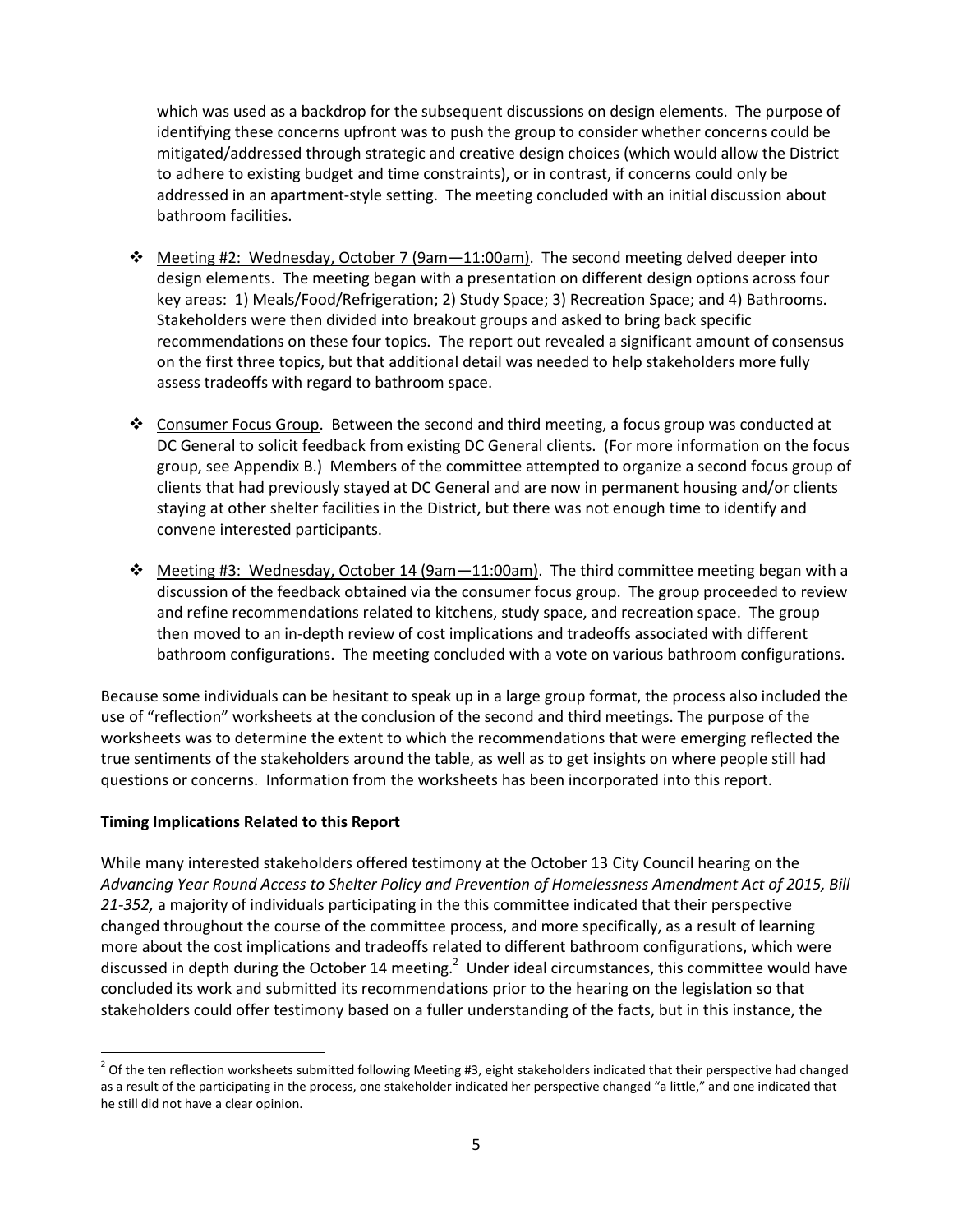which was used as a backdrop for the subsequent discussions on design elements. The purpose of identifying these concerns upfront was to push the group to consider whether concerns could be mitigated/addressed through strategic and creative design choices (which would allow the District to adhere to existing budget and time constraints), or in contrast, if concerns could only be addressed in an apartment-style setting. The meeting concluded with an initial discussion about bathroom facilities.

- $\div$  Meeting #2: Wednesday, October 7 (9am 11:00am). The second meeting delved deeper into design elements. The meeting began with a presentation on different design options across four key areas: 1) Meals/Food/Refrigeration; 2) Study Space; 3) Recreation Space; and 4) Bathrooms. Stakeholders were then divided into breakout groups and asked to bring back specific recommendations on these four topics. The report out revealed a significant amount of consensus on the first three topics, but that additional detail was needed to help stakeholders more fully assess tradeoffs with regard to bathroom space.
- \* Consumer Focus Group. Between the second and third meeting, a focus group was conducted at DC General to solicit feedback from existing DC General clients. (For more information on the focus group, see Appendix B.) Members of the committee attempted to organize a second focus group of clients that had previously stayed at DC General and are now in permanent housing and/or clients staying at other shelter facilities in the District, but there was not enough time to identify and convene interested participants.
- $\clubsuit$  Meeting #3: Wednesday, October 14 (9am -11:00am). The third committee meeting began with a discussion of the feedback obtained via the consumer focus group. The group proceeded to review and refine recommendations related to kitchens, study space, and recreation space. The group then moved to an in-depth review of cost implications and tradeoffs associated with different bathroom configurations. The meeting concluded with a vote on various bathroom configurations.

Because some individuals can be hesitant to speak up in a large group format, the process also included the use of "reflection" worksheets at the conclusion of the second and third meetings. The purpose of the worksheets was to determine the extent to which the recommendations that were emerging reflected the true sentiments of the stakeholders around the table, as well as to get insights on where people still had questions or concerns. Information from the worksheets has been incorporated into this report.

#### **Timing Implications Related to this Report**

 $\ddot{\phantom{a}}$ 

While many interested stakeholders offered testimony at the October 13 City Council hearing on the *Advancing Year Round Access to Shelter Policy and Prevention of Homelessness Amendment Act of 2015, Bill 21-352,* a majority of individuals participating in the this committee indicated that their perspective changed throughout the course of the committee process, and more specifically, as a result of learning more about the cost implications and tradeoffs related to different bathroom configurations, which were discussed in depth during the October 14 meeting. $^2$  Under ideal circumstances, this committee would have concluded its work and submitted its recommendations prior to the hearing on the legislation so that stakeholders could offer testimony based on a fuller understanding of the facts, but in this instance, the

 $^2$  Of the ten reflection worksheets submitted following Meeting #3, eight stakeholders indicated that their perspective had changed as a result of the participating in the process, one stakeholder indicated her perspective changed "a little," and one indicated that he still did not have a clear opinion.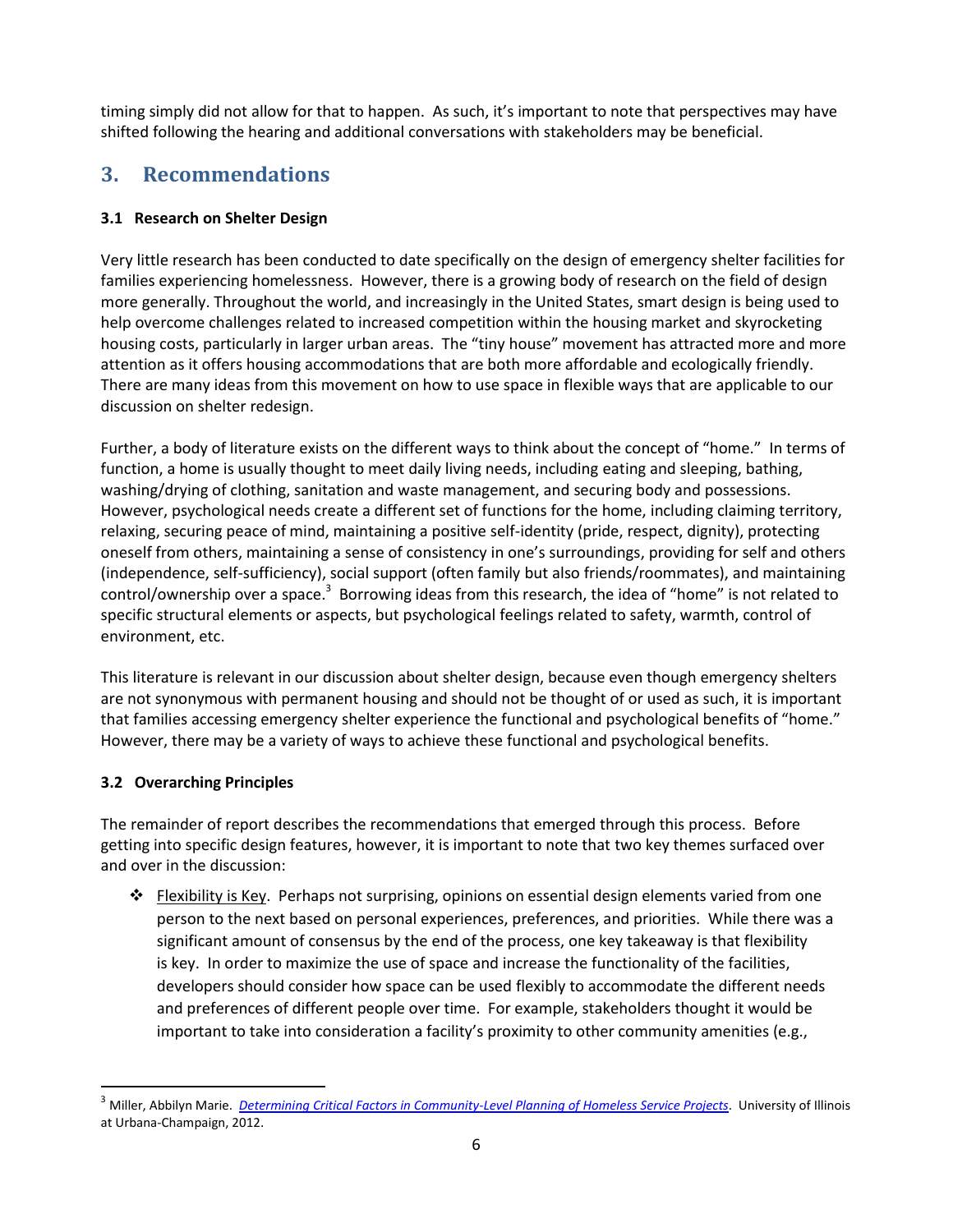timing simply did not allow for that to happen. As such, it's important to note that perspectives may have shifted following the hearing and additional conversations with stakeholders may be beneficial.

# **3. Recommendations**

### **3.1 Research on Shelter Design**

Very little research has been conducted to date specifically on the design of emergency shelter facilities for families experiencing homelessness. However, there is a growing body of research on the field of design more generally. Throughout the world, and increasingly in the United States, smart design is being used to help overcome challenges related to increased competition within the housing market and skyrocketing housing costs, particularly in larger urban areas. The "tiny house" movement has attracted more and more attention as it offers housing accommodations that are both more affordable and ecologically friendly. There are many ideas from this movement on how to use space in flexible ways that are applicable to our discussion on shelter redesign.

Further, a body of literature exists on the different ways to think about the concept of "home." In terms of function, a home is usually thought to meet daily living needs, including eating and sleeping, bathing, washing/drying of clothing, sanitation and waste management, and securing body and possessions. However, psychological needs create a different set of functions for the home, including claiming territory, relaxing, securing peace of mind, maintaining a positive self-identity (pride, respect, dignity), protecting oneself from others, maintaining a sense of consistency in one's surroundings, providing for self and others (independence, self-sufficiency), social support (often family but also friends/roommates), and maintaining control/ownership over a space.<sup>3</sup> Borrowing ideas from this research, the idea of "home" is not related to specific structural elements or aspects, but psychological feelings related to safety, warmth, control of environment, etc.

This literature is relevant in our discussion about shelter design, because even though emergency shelters are not synonymous with permanent housing and should not be thought of or used as such, it is important that families accessing emergency shelter experience the functional and psychological benefits of "home." However, there may be a variety of ways to achieve these functional and psychological benefits.

## **3.2 Overarching Principles**

 $\overline{a}$ 

The remainder of report describes the recommendations that emerged through this process. Before getting into specific design features, however, it is important to note that two key themes surfaced over and over in the discussion:

\* Flexibility is Key. Perhaps not surprising, opinions on essential design elements varied from one person to the next based on personal experiences, preferences, and priorities. While there was a significant amount of consensus by the end of the process, one key takeaway is that flexibility is key. In order to maximize the use of space and increase the functionality of the facilities, developers should consider how space can be used flexibly to accommodate the different needs and preferences of different people over time. For example, stakeholders thought it would be important to take into consideration a facility's proximity to other community amenities (e.g.,

<sup>3</sup> Miller, Abbilyn Marie. *[Determining Critical Factors in Community-Level Planning of Homeless Service Projects](https://www.ideals.illinois.edu/bitstream/handle/2142/31069/Miller_Abbilyn.pdf?sequence=1)*. University of Illinois at Urbana-Champaign, 2012.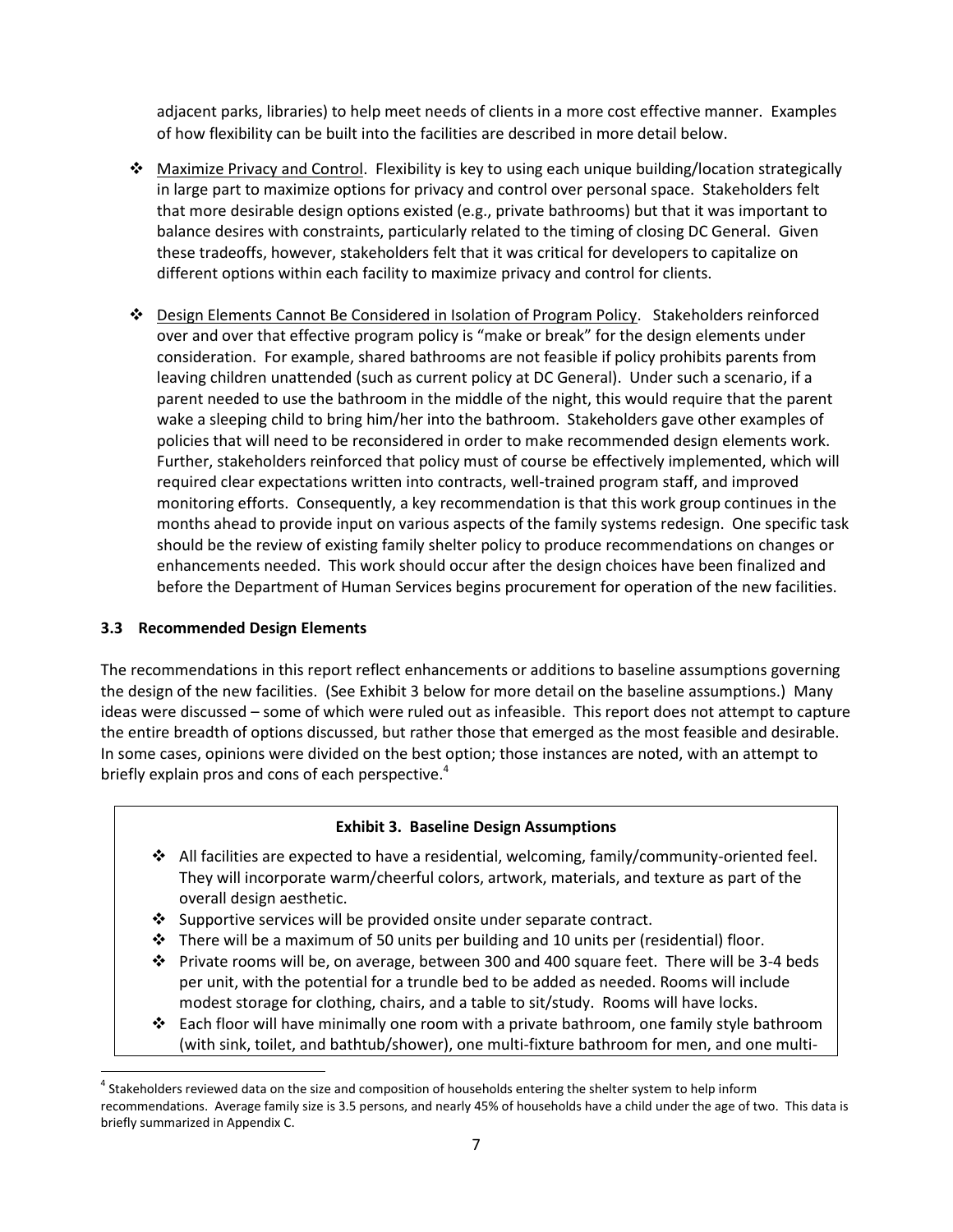adjacent parks, libraries) to help meet needs of clients in a more cost effective manner. Examples of how flexibility can be built into the facilities are described in more detail below.

- Maximize Privacy and Control. Flexibility is key to using each unique building/location strategically in large part to maximize options for privacy and control over personal space. Stakeholders felt that more desirable design options existed (e.g., private bathrooms) but that it was important to balance desires with constraints, particularly related to the timing of closing DC General. Given these tradeoffs, however, stakeholders felt that it was critical for developers to capitalize on different options within each facility to maximize privacy and control for clients.
- Design Elements Cannot Be Considered in Isolation of Program Policy. Stakeholders reinforced over and over that effective program policy is "make or break" for the design elements under consideration. For example, shared bathrooms are not feasible if policy prohibits parents from leaving children unattended (such as current policy at DC General). Under such a scenario, if a parent needed to use the bathroom in the middle of the night, this would require that the parent wake a sleeping child to bring him/her into the bathroom. Stakeholders gave other examples of policies that will need to be reconsidered in order to make recommended design elements work. Further, stakeholders reinforced that policy must of course be effectively implemented, which will required clear expectations written into contracts, well-trained program staff, and improved monitoring efforts. Consequently, a key recommendation is that this work group continues in the months ahead to provide input on various aspects of the family systems redesign. One specific task should be the review of existing family shelter policy to produce recommendations on changes or enhancements needed. This work should occur after the design choices have been finalized and before the Department of Human Services begins procurement for operation of the new facilities.

### **3.3 Recommended Design Elements**

 $\overline{a}$ 

The recommendations in this report reflect enhancements or additions to baseline assumptions governing the design of the new facilities. (See Exhibit 3 below for more detail on the baseline assumptions.) Many ideas were discussed – some of which were ruled out as infeasible. This report does not attempt to capture the entire breadth of options discussed, but rather those that emerged as the most feasible and desirable. In some cases, opinions were divided on the best option; those instances are noted, with an attempt to briefly explain pros and cons of each perspective.<sup>4</sup>

### **Exhibit 3. Baseline Design Assumptions**

- All facilities are expected to have a residential, welcoming, family/community-oriented feel. They will incorporate warm/cheerful colors, artwork, materials, and texture as part of the overall design aesthetic.
- $\cdot$  Supportive services will be provided onsite under separate contract.
- $\div$  There will be a maximum of 50 units per building and 10 units per (residential) floor.
- $\cdot \cdot$  Private rooms will be, on average, between 300 and 400 square feet. There will be 3-4 beds per unit, with the potential for a trundle bed to be added as needed. Rooms will include modest storage for clothing, chairs, and a table to sit/study. Rooms will have locks.
- ❖ Each floor will have minimally one room with a private bathroom, one family style bathroom (with sink, toilet, and bathtub/shower), one multi-fixture bathroom for men, and one multi-

<sup>&</sup>lt;sup>4</sup> Stakeholders reviewed data on the size and composition of households entering the shelter system to help inform recommendations. Average family size is 3.5 persons, and nearly 45% of households have a child under the age of two. This data is briefly summarized in Appendix C.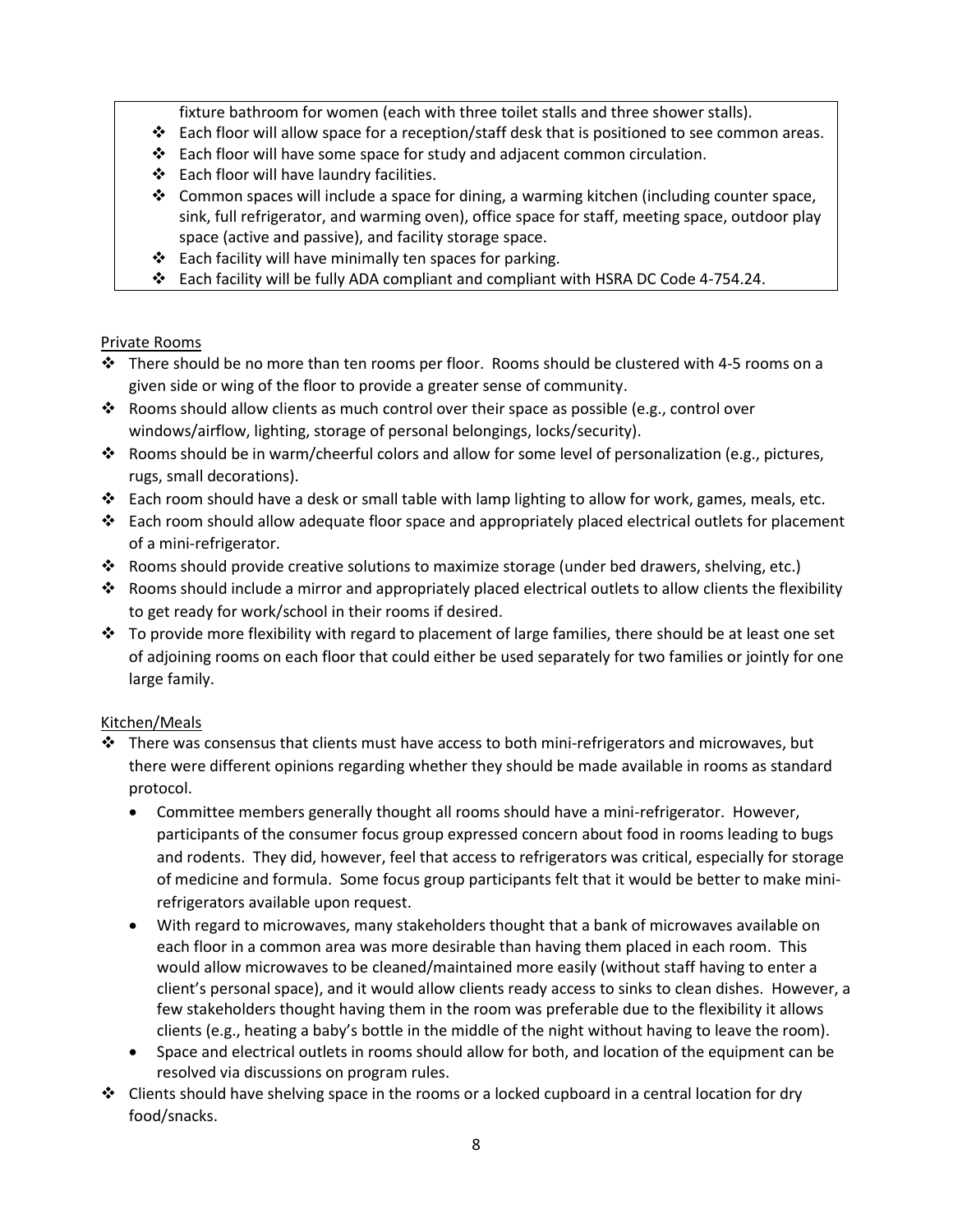fixture bathroom for women (each with three toilet stalls and three shower stalls).

- Each floor will allow space for a reception/staff desk that is positioned to see common areas.
- Each floor will have some space for study and adjacent common circulation.
- ❖ Each floor will have laundry facilities.
- $\div$  Common spaces will include a space for dining, a warming kitchen (including counter space, sink, full refrigerator, and warming oven), office space for staff, meeting space, outdoor play space (active and passive), and facility storage space.
- $\cdot$  Each facility will have minimally ten spaces for parking.
- Each facility will be fully ADA compliant and compliant with HSRA DC Code 4-754.24.

### Private Rooms

- $\cdot \cdot$  There should be no more than ten rooms per floor. Rooms should be clustered with 4-5 rooms on a given side or wing of the floor to provide a greater sense of community.
- Rooms should allow clients as much control over their space as possible (e.g., control over windows/airflow, lighting, storage of personal belongings, locks/security).
- Rooms should be in warm/cheerful colors and allow for some level of personalization (e.g., pictures, rugs, small decorations).
- $\div$  Each room should have a desk or small table with lamp lighting to allow for work, games, meals, etc.
- $\clubsuit$  Each room should allow adequate floor space and appropriately placed electrical outlets for placement of a mini-refrigerator.
- $\clubsuit$  Rooms should provide creative solutions to maximize storage (under bed drawers, shelving, etc.)
- Rooms should include a mirror and appropriately placed electrical outlets to allow clients the flexibility to get ready for work/school in their rooms if desired.
- $\div$  To provide more flexibility with regard to placement of large families, there should be at least one set of adjoining rooms on each floor that could either be used separately for two families or jointly for one large family.

### Kitchen/Meals

- $\cdot \cdot$  There was consensus that clients must have access to both mini-refrigerators and microwaves, but there were different opinions regarding whether they should be made available in rooms as standard protocol.
	- Committee members generally thought all rooms should have a mini-refrigerator. However, participants of the consumer focus group expressed concern about food in rooms leading to bugs and rodents. They did, however, feel that access to refrigerators was critical, especially for storage of medicine and formula. Some focus group participants felt that it would be better to make minirefrigerators available upon request.
	- With regard to microwaves, many stakeholders thought that a bank of microwaves available on each floor in a common area was more desirable than having them placed in each room. This would allow microwaves to be cleaned/maintained more easily (without staff having to enter a client's personal space), and it would allow clients ready access to sinks to clean dishes. However, a few stakeholders thought having them in the room was preferable due to the flexibility it allows clients (e.g., heating a baby's bottle in the middle of the night without having to leave the room).
	- Space and electrical outlets in rooms should allow for both, and location of the equipment can be resolved via discussions on program rules.
- $\div$  Clients should have shelving space in the rooms or a locked cupboard in a central location for dry food/snacks.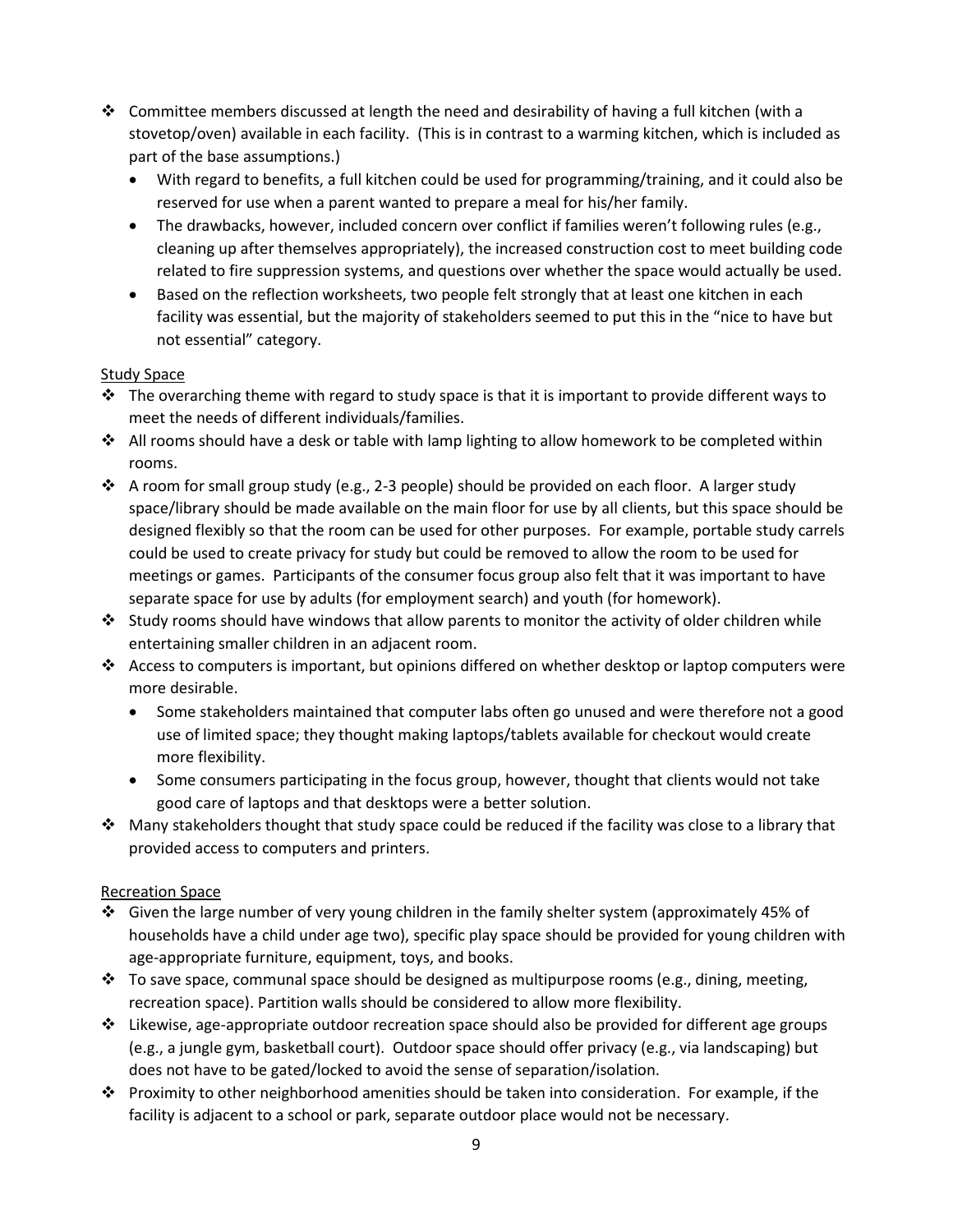- $\div$  Committee members discussed at length the need and desirability of having a full kitchen (with a stovetop/oven) available in each facility. (This is in contrast to a warming kitchen, which is included as part of the base assumptions.)
	- With regard to benefits, a full kitchen could be used for programming/training, and it could also be reserved for use when a parent wanted to prepare a meal for his/her family.
	- The drawbacks, however, included concern over conflict if families weren't following rules (e.g., cleaning up after themselves appropriately), the increased construction cost to meet building code related to fire suppression systems, and questions over whether the space would actually be used.
	- Based on the reflection worksheets, two people felt strongly that at least one kitchen in each facility was essential, but the majority of stakeholders seemed to put this in the "nice to have but not essential" category.

### Study Space

- $\cdot \cdot$  The overarching theme with regard to study space is that it is important to provide different ways to meet the needs of different individuals/families.
- $\cdot$  All rooms should have a desk or table with lamp lighting to allow homework to be completed within rooms.
- $\triangle$  A room for small group study (e.g., 2-3 people) should be provided on each floor. A larger study space/library should be made available on the main floor for use by all clients, but this space should be designed flexibly so that the room can be used for other purposes. For example, portable study carrels could be used to create privacy for study but could be removed to allow the room to be used for meetings or games. Participants of the consumer focus group also felt that it was important to have separate space for use by adults (for employment search) and youth (for homework).
- Study rooms should have windows that allow parents to monitor the activity of older children while entertaining smaller children in an adjacent room.
- $\clubsuit$  Access to computers is important, but opinions differed on whether desktop or laptop computers were more desirable.
	- Some stakeholders maintained that computer labs often go unused and were therefore not a good use of limited space; they thought making laptops/tablets available for checkout would create more flexibility.
	- Some consumers participating in the focus group, however, thought that clients would not take good care of laptops and that desktops were a better solution.
- $\clubsuit$  Many stakeholders thought that study space could be reduced if the facility was close to a library that provided access to computers and printers.

## Recreation Space

- Given the large number of very young children in the family shelter system (approximately 45% of households have a child under age two), specific play space should be provided for young children with age-appropriate furniture, equipment, toys, and books.
- $\div$  To save space, communal space should be designed as multipurpose rooms (e.g., dining, meeting, recreation space). Partition walls should be considered to allow more flexibility.
- $\div$  Likewise, age-appropriate outdoor recreation space should also be provided for different age groups (e.g., a jungle gym, basketball court). Outdoor space should offer privacy (e.g., via landscaping) but does not have to be gated/locked to avoid the sense of separation/isolation.
- Proximity to other neighborhood amenities should be taken into consideration. For example, if the facility is adjacent to a school or park, separate outdoor place would not be necessary.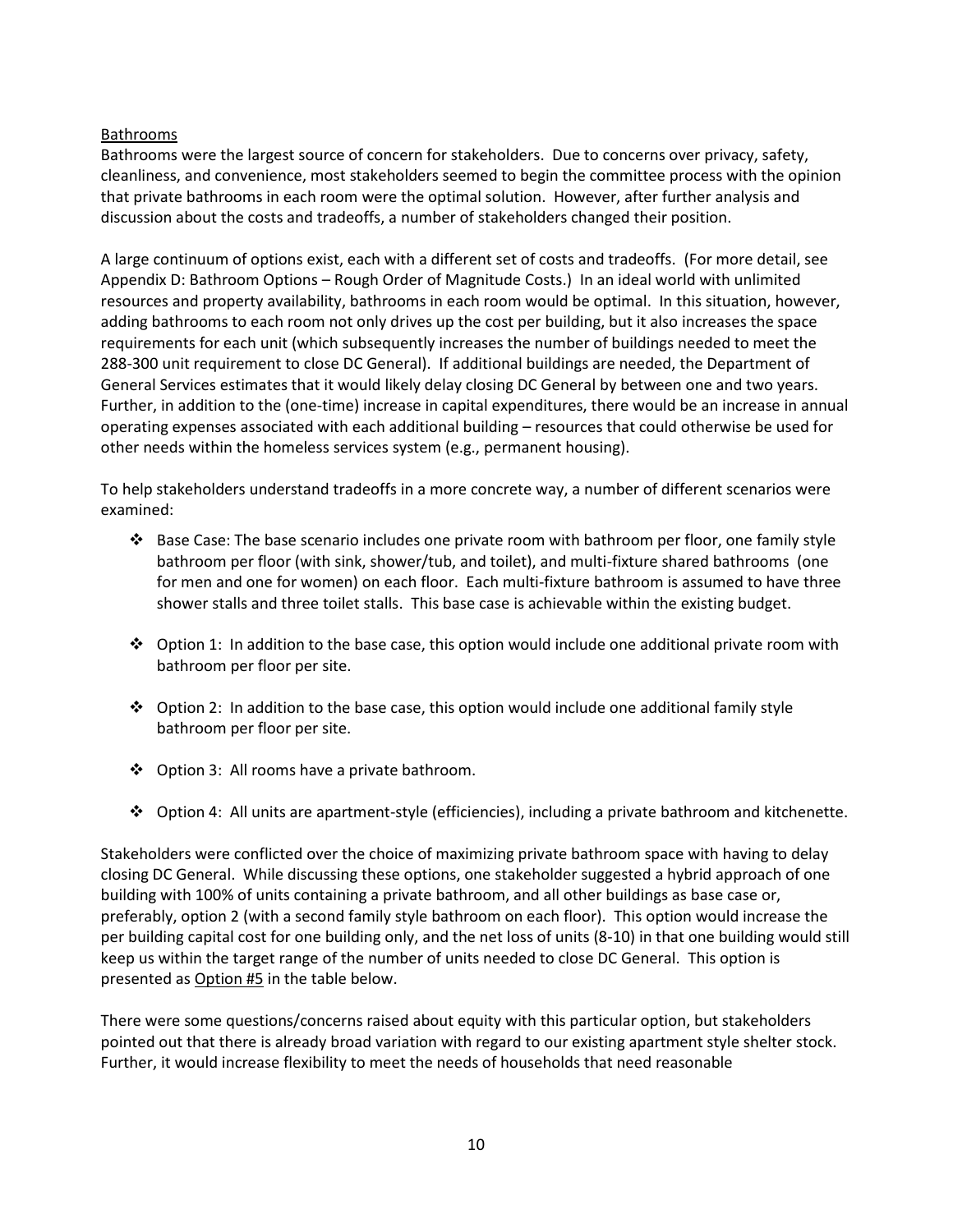#### Bathrooms

Bathrooms were the largest source of concern for stakeholders. Due to concerns over privacy, safety, cleanliness, and convenience, most stakeholders seemed to begin the committee process with the opinion that private bathrooms in each room were the optimal solution. However, after further analysis and discussion about the costs and tradeoffs, a number of stakeholders changed their position.

A large continuum of options exist, each with a different set of costs and tradeoffs. (For more detail, see Appendix D: Bathroom Options – Rough Order of Magnitude Costs.) In an ideal world with unlimited resources and property availability, bathrooms in each room would be optimal. In this situation, however, adding bathrooms to each room not only drives up the cost per building, but it also increases the space requirements for each unit (which subsequently increases the number of buildings needed to meet the 288-300 unit requirement to close DC General). If additional buildings are needed, the Department of General Services estimates that it would likely delay closing DC General by between one and two years. Further, in addition to the (one-time) increase in capital expenditures, there would be an increase in annual operating expenses associated with each additional building – resources that could otherwise be used for other needs within the homeless services system (e.g., permanent housing).

To help stakeholders understand tradeoffs in a more concrete way, a number of different scenarios were examined:

- $\div$  Base Case: The base scenario includes one private room with bathroom per floor, one family style bathroom per floor (with sink, shower/tub, and toilet), and multi-fixture shared bathrooms (one for men and one for women) on each floor. Each multi-fixture bathroom is assumed to have three shower stalls and three toilet stalls. This base case is achievable within the existing budget.
- $\clubsuit$  Option 1: In addition to the base case, this option would include one additional private room with bathroom per floor per site.
- $\clubsuit$  Option 2: In addition to the base case, this option would include one additional family style bathroom per floor per site.
- ❖ Option 3: All rooms have a private bathroom.
- Option 4: All units are apartment-style (efficiencies), including a private bathroom and kitchenette.

Stakeholders were conflicted over the choice of maximizing private bathroom space with having to delay closing DC General. While discussing these options, one stakeholder suggested a hybrid approach of one building with 100% of units containing a private bathroom, and all other buildings as base case or, preferably, option 2 (with a second family style bathroom on each floor). This option would increase the per building capital cost for one building only, and the net loss of units (8-10) in that one building would still keep us within the target range of the number of units needed to close DC General. This option is presented as Option #5 in the table below.

There were some questions/concerns raised about equity with this particular option, but stakeholders pointed out that there is already broad variation with regard to our existing apartment style shelter stock. Further, it would increase flexibility to meet the needs of households that need reasonable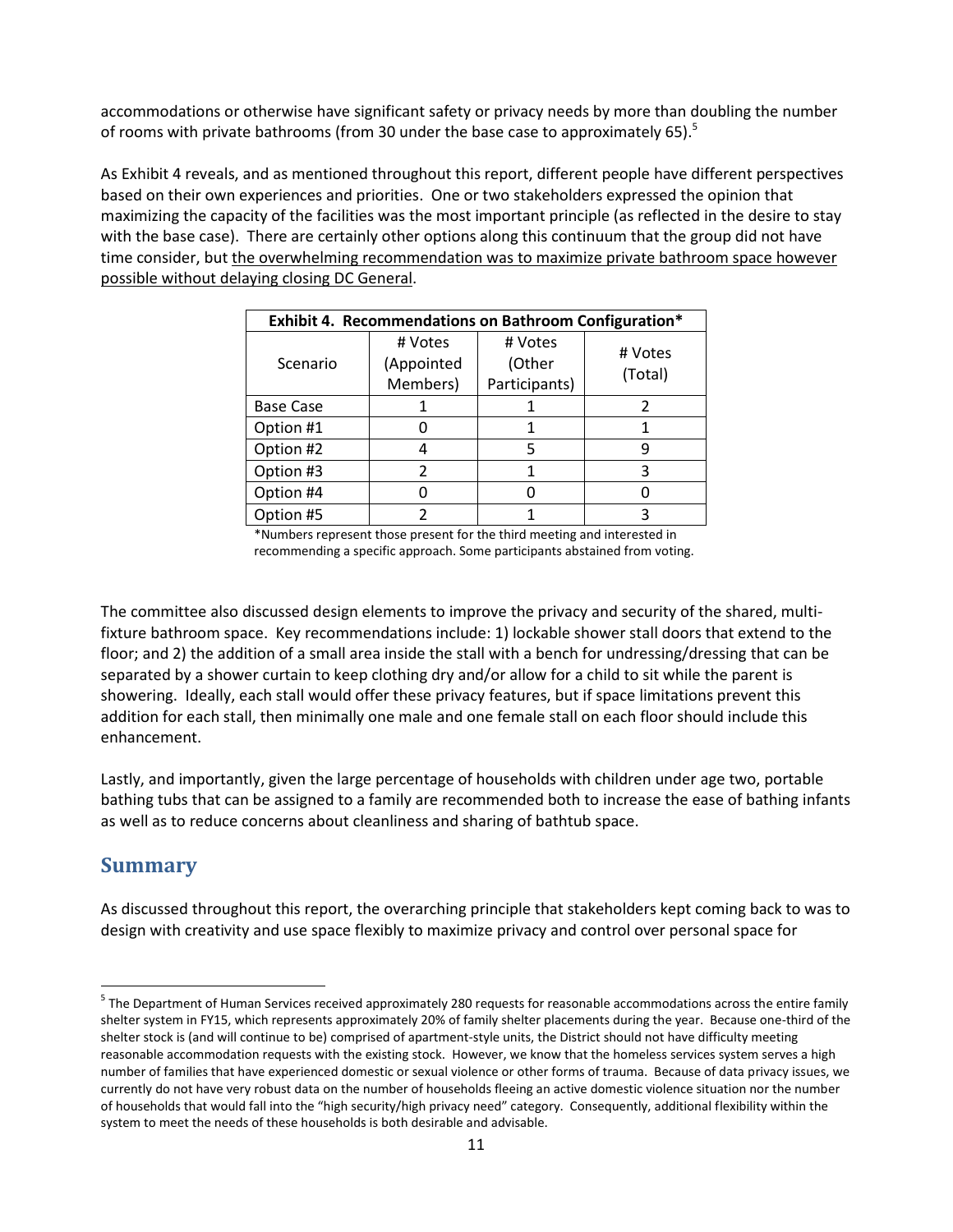accommodations or otherwise have significant safety or privacy needs by more than doubling the number of rooms with private bathrooms (from 30 under the base case to approximately 65).<sup>5</sup>

As Exhibit 4 reveals, and as mentioned throughout this report, different people have different perspectives based on their own experiences and priorities. One or two stakeholders expressed the opinion that maximizing the capacity of the facilities was the most important principle (as reflected in the desire to stay with the base case). There are certainly other options along this continuum that the group did not have time consider, but the overwhelming recommendation was to maximize private bathroom space however possible without delaying closing DC General.

| Exhibit 4. Recommendations on Bathroom Configuration* |            |               |         |
|-------------------------------------------------------|------------|---------------|---------|
| Scenario                                              | # Votes    | # Votes       | # Votes |
|                                                       | (Appointed | (Other        | (Total) |
|                                                       | Members)   | Participants) |         |
| <b>Base Case</b>                                      |            |               |         |
| Option #1                                             |            |               |         |
| Option #2                                             |            | 5             |         |
| Option #3                                             |            |               |         |
| Option #4                                             |            |               |         |
| Option #5                                             |            |               |         |

\*Numbers represent those present for the third meeting and interested in recommending a specific approach. Some participants abstained from voting.

The committee also discussed design elements to improve the privacy and security of the shared, multifixture bathroom space. Key recommendations include: 1) lockable shower stall doors that extend to the floor; and 2) the addition of a small area inside the stall with a bench for undressing/dressing that can be separated by a shower curtain to keep clothing dry and/or allow for a child to sit while the parent is showering. Ideally, each stall would offer these privacy features, but if space limitations prevent this addition for each stall, then minimally one male and one female stall on each floor should include this enhancement.

Lastly, and importantly, given the large percentage of households with children under age two, portable bathing tubs that can be assigned to a family are recommended both to increase the ease of bathing infants as well as to reduce concerns about cleanliness and sharing of bathtub space.

# **Summary**

 $\overline{a}$ 

As discussed throughout this report, the overarching principle that stakeholders kept coming back to was to design with creativity and use space flexibly to maximize privacy and control over personal space for

<sup>&</sup>lt;sup>5</sup> The Department of Human Services received approximately 280 requests for reasonable accommodations across the entire family shelter system in FY15, which represents approximately 20% of family shelter placements during the year. Because one-third of the shelter stock is (and will continue to be) comprised of apartment-style units, the District should not have difficulty meeting reasonable accommodation requests with the existing stock. However, we know that the homeless services system serves a high number of families that have experienced domestic or sexual violence or other forms of trauma. Because of data privacy issues, we currently do not have very robust data on the number of households fleeing an active domestic violence situation nor the number of households that would fall into the "high security/high privacy need" category. Consequently, additional flexibility within the system to meet the needs of these households is both desirable and advisable.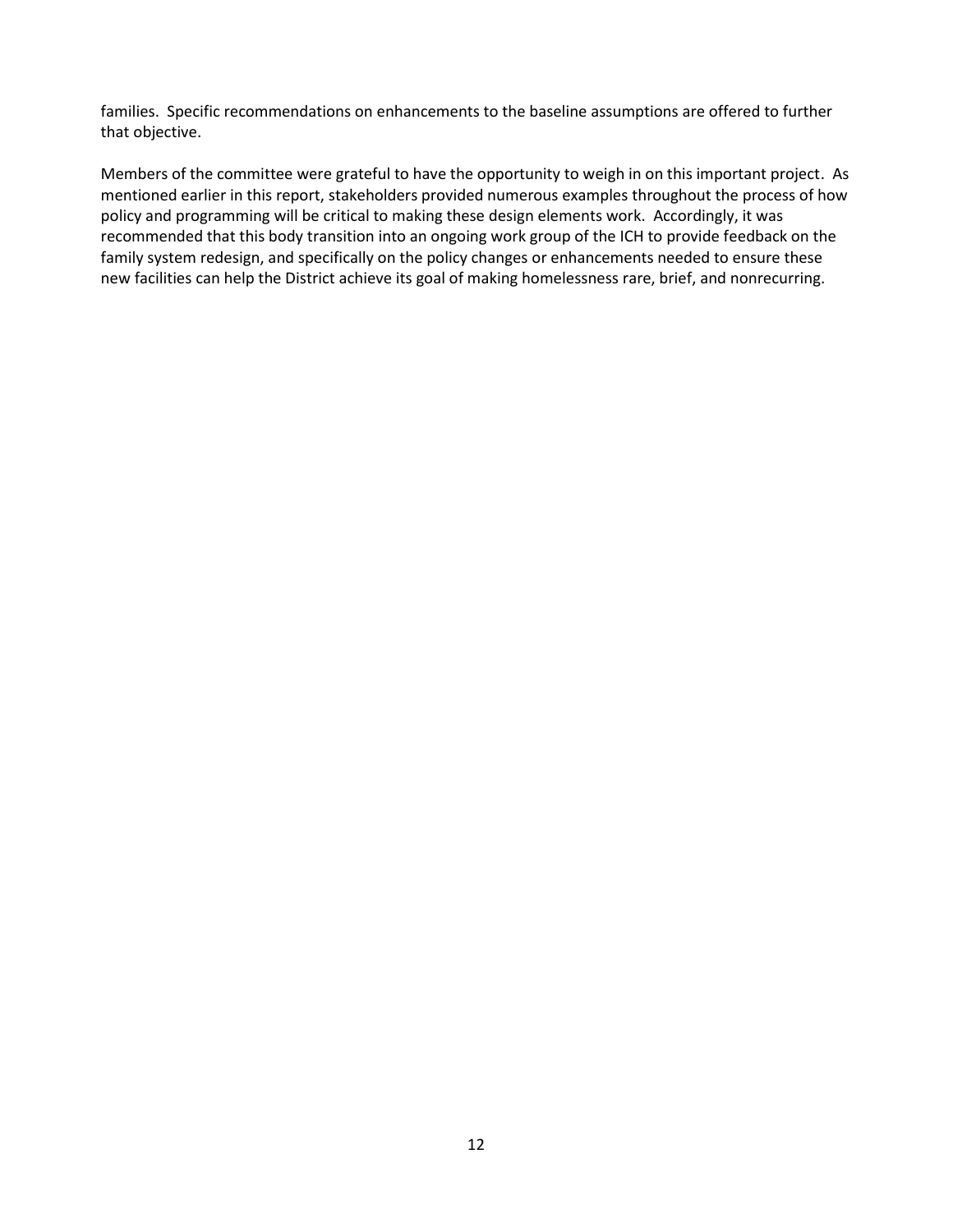families. Specific recommendations on enhancements to the baseline assumptions are offered to further that objective.

Members of the committee were grateful to have the opportunity to weigh in on this important project. As mentioned earlier in this report, stakeholders provided numerous examples throughout the process of how policy and programming will be critical to making these design elements work. Accordingly, it was recommended that this body transition into an ongoing work group of the ICH to provide feedback on the family system redesign, and specifically on the policy changes or enhancements needed to ensure these new facilities can help the District achieve its goal of making homelessness rare, brief, and nonrecurring.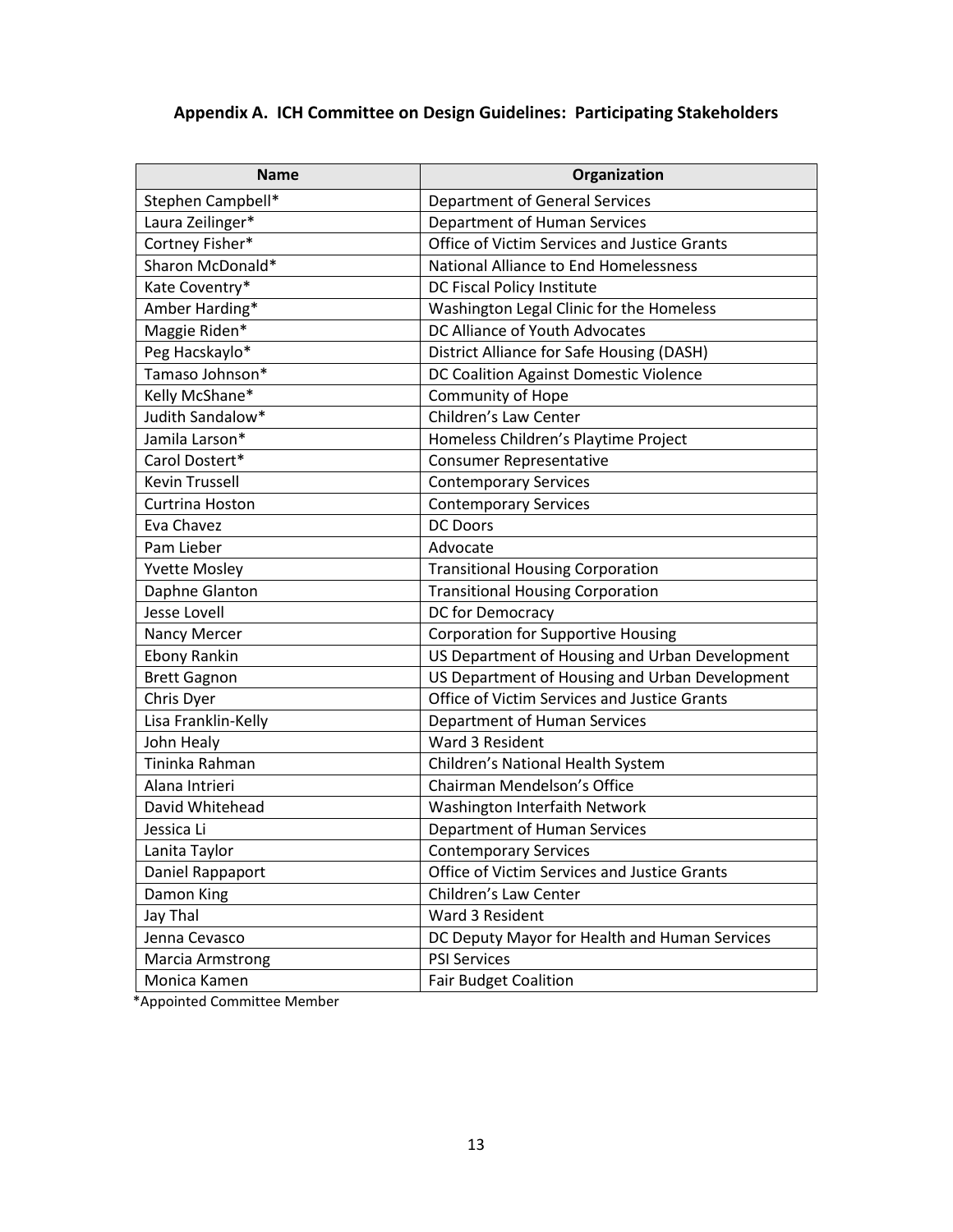# **Appendix A. ICH Committee on Design Guidelines: Participating Stakeholders**

| <b>Name</b>             | Organization                                   |  |
|-------------------------|------------------------------------------------|--|
| Stephen Campbell*       | <b>Department of General Services</b>          |  |
| Laura Zeilinger*        | Department of Human Services                   |  |
| Cortney Fisher*         | Office of Victim Services and Justice Grants   |  |
| Sharon McDonald*        | National Alliance to End Homelessness          |  |
| Kate Coventry*          | DC Fiscal Policy Institute                     |  |
| Amber Harding*          | Washington Legal Clinic for the Homeless       |  |
| Maggie Riden*           | DC Alliance of Youth Advocates                 |  |
| Peg Hacskaylo*          | District Alliance for Safe Housing (DASH)      |  |
| Tamaso Johnson*         | DC Coalition Against Domestic Violence         |  |
| Kelly McShane*          | <b>Community of Hope</b>                       |  |
| Judith Sandalow*        | Children's Law Center                          |  |
| Jamila Larson*          | Homeless Children's Playtime Project           |  |
| Carol Dostert*          | <b>Consumer Representative</b>                 |  |
| <b>Kevin Trussell</b>   | <b>Contemporary Services</b>                   |  |
| Curtrina Hoston         | <b>Contemporary Services</b>                   |  |
| Eva Chavez              | <b>DC Doors</b>                                |  |
| Pam Lieber              | Advocate                                       |  |
| <b>Yvette Mosley</b>    | <b>Transitional Housing Corporation</b>        |  |
| Daphne Glanton          | <b>Transitional Housing Corporation</b>        |  |
| <b>Jesse Lovell</b>     | DC for Democracy                               |  |
| Nancy Mercer            | <b>Corporation for Supportive Housing</b>      |  |
| <b>Ebony Rankin</b>     | US Department of Housing and Urban Development |  |
| <b>Brett Gagnon</b>     | US Department of Housing and Urban Development |  |
| Chris Dyer              | Office of Victim Services and Justice Grants   |  |
| Lisa Franklin-Kelly     | Department of Human Services                   |  |
| John Healy              | Ward 3 Resident                                |  |
| Tininka Rahman          | Children's National Health System              |  |
| Alana Intrieri          | Chairman Mendelson's Office                    |  |
| David Whitehead         | Washington Interfaith Network                  |  |
| Jessica Li              | Department of Human Services                   |  |
| Lanita Taylor           | <b>Contemporary Services</b>                   |  |
| Daniel Rappaport        | Office of Victim Services and Justice Grants   |  |
| Damon King              | Children's Law Center                          |  |
| Jay Thal                | Ward 3 Resident                                |  |
| Jenna Cevasco           | DC Deputy Mayor for Health and Human Services  |  |
| <b>Marcia Armstrong</b> | <b>PSI Services</b>                            |  |
| Monica Kamen            | <b>Fair Budget Coalition</b>                   |  |

\*Appointed Committee Member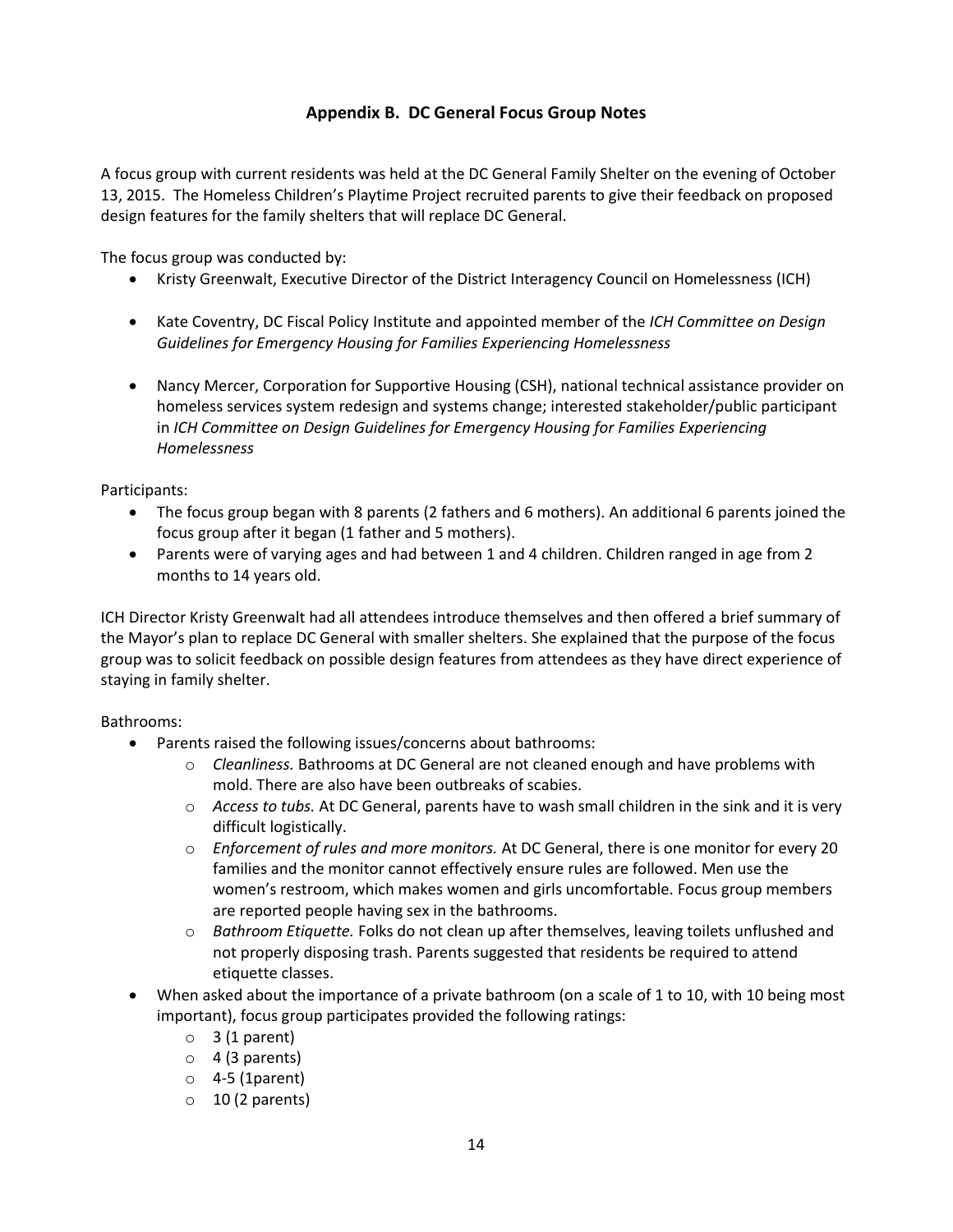### **Appendix B. DC General Focus Group Notes**

A focus group with current residents was held at the DC General Family Shelter on the evening of October 13, 2015. The Homeless Children's Playtime Project recruited parents to give their feedback on proposed design features for the family shelters that will replace DC General.

The focus group was conducted by:

- Kristy Greenwalt, Executive Director of the District Interagency Council on Homelessness (ICH)
- Kate Coventry, DC Fiscal Policy Institute and appointed member of the *ICH Committee on Design Guidelines for Emergency Housing for Families Experiencing Homelessness*
- Nancy Mercer, Corporation for Supportive Housing (CSH), national technical assistance provider on homeless services system redesign and systems change; interested stakeholder/public participant in *ICH Committee on Design Guidelines for Emergency Housing for Families Experiencing Homelessness*

Participants:

- The focus group began with 8 parents (2 fathers and 6 mothers). An additional 6 parents joined the focus group after it began (1 father and 5 mothers).
- Parents were of varying ages and had between 1 and 4 children. Children ranged in age from 2 months to 14 years old.

ICH Director Kristy Greenwalt had all attendees introduce themselves and then offered a brief summary of the Mayor's plan to replace DC General with smaller shelters. She explained that the purpose of the focus group was to solicit feedback on possible design features from attendees as they have direct experience of staying in family shelter.

Bathrooms:

- Parents raised the following issues/concerns about bathrooms:
	- o *Cleanliness.* Bathrooms at DC General are not cleaned enough and have problems with mold. There are also have been outbreaks of scabies.
	- o *Access to tubs.* At DC General, parents have to wash small children in the sink and it is very difficult logistically.
	- o *Enforcement of rules and more monitors.* At DC General, there is one monitor for every 20 families and the monitor cannot effectively ensure rules are followed. Men use the women's restroom, which makes women and girls uncomfortable. Focus group members are reported people having sex in the bathrooms.
	- o *Bathroom Etiquette.* Folks do not clean up after themselves, leaving toilets unflushed and not properly disposing trash. Parents suggested that residents be required to attend etiquette classes.
- When asked about the importance of a private bathroom (on a scale of 1 to 10, with 10 being most important), focus group participates provided the following ratings:
	- $\circ$  3 (1 parent)
	- $\circ$  4 (3 parents)
	- $\circ$  4-5 (1 parent)
	- $\circ$  10 (2 parents)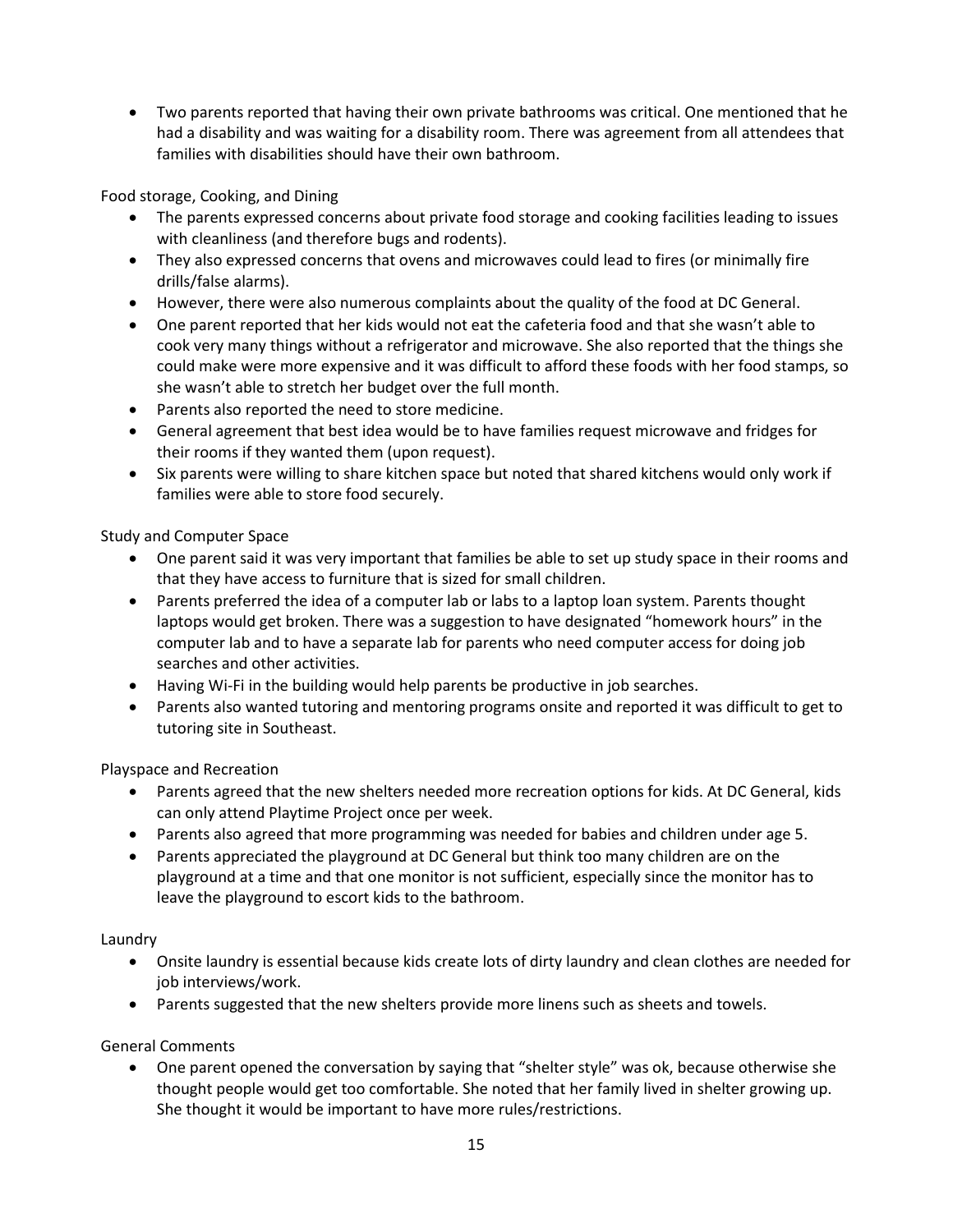Two parents reported that having their own private bathrooms was critical. One mentioned that he had a disability and was waiting for a disability room. There was agreement from all attendees that families with disabilities should have their own bathroom.

Food storage, Cooking, and Dining

- The parents expressed concerns about private food storage and cooking facilities leading to issues with cleanliness (and therefore bugs and rodents).
- They also expressed concerns that ovens and microwaves could lead to fires (or minimally fire drills/false alarms).
- However, there were also numerous complaints about the quality of the food at DC General.
- One parent reported that her kids would not eat the cafeteria food and that she wasn't able to cook very many things without a refrigerator and microwave. She also reported that the things she could make were more expensive and it was difficult to afford these foods with her food stamps, so she wasn't able to stretch her budget over the full month.
- Parents also reported the need to store medicine.
- General agreement that best idea would be to have families request microwave and fridges for their rooms if they wanted them (upon request).
- Six parents were willing to share kitchen space but noted that shared kitchens would only work if families were able to store food securely.

Study and Computer Space

- One parent said it was very important that families be able to set up study space in their rooms and that they have access to furniture that is sized for small children.
- Parents preferred the idea of a computer lab or labs to a laptop loan system. Parents thought laptops would get broken. There was a suggestion to have designated "homework hours" in the computer lab and to have a separate lab for parents who need computer access for doing job searches and other activities.
- Having Wi-Fi in the building would help parents be productive in job searches.
- Parents also wanted tutoring and mentoring programs onsite and reported it was difficult to get to tutoring site in Southeast.

Playspace and Recreation

- Parents agreed that the new shelters needed more recreation options for kids. At DC General, kids can only attend Playtime Project once per week.
- Parents also agreed that more programming was needed for babies and children under age 5.
- Parents appreciated the playground at DC General but think too many children are on the playground at a time and that one monitor is not sufficient, especially since the monitor has to leave the playground to escort kids to the bathroom.

Laundry

- Onsite laundry is essential because kids create lots of dirty laundry and clean clothes are needed for job interviews/work.
- Parents suggested that the new shelters provide more linens such as sheets and towels.

General Comments

 One parent opened the conversation by saying that "shelter style" was ok, because otherwise she thought people would get too comfortable. She noted that her family lived in shelter growing up. She thought it would be important to have more rules/restrictions.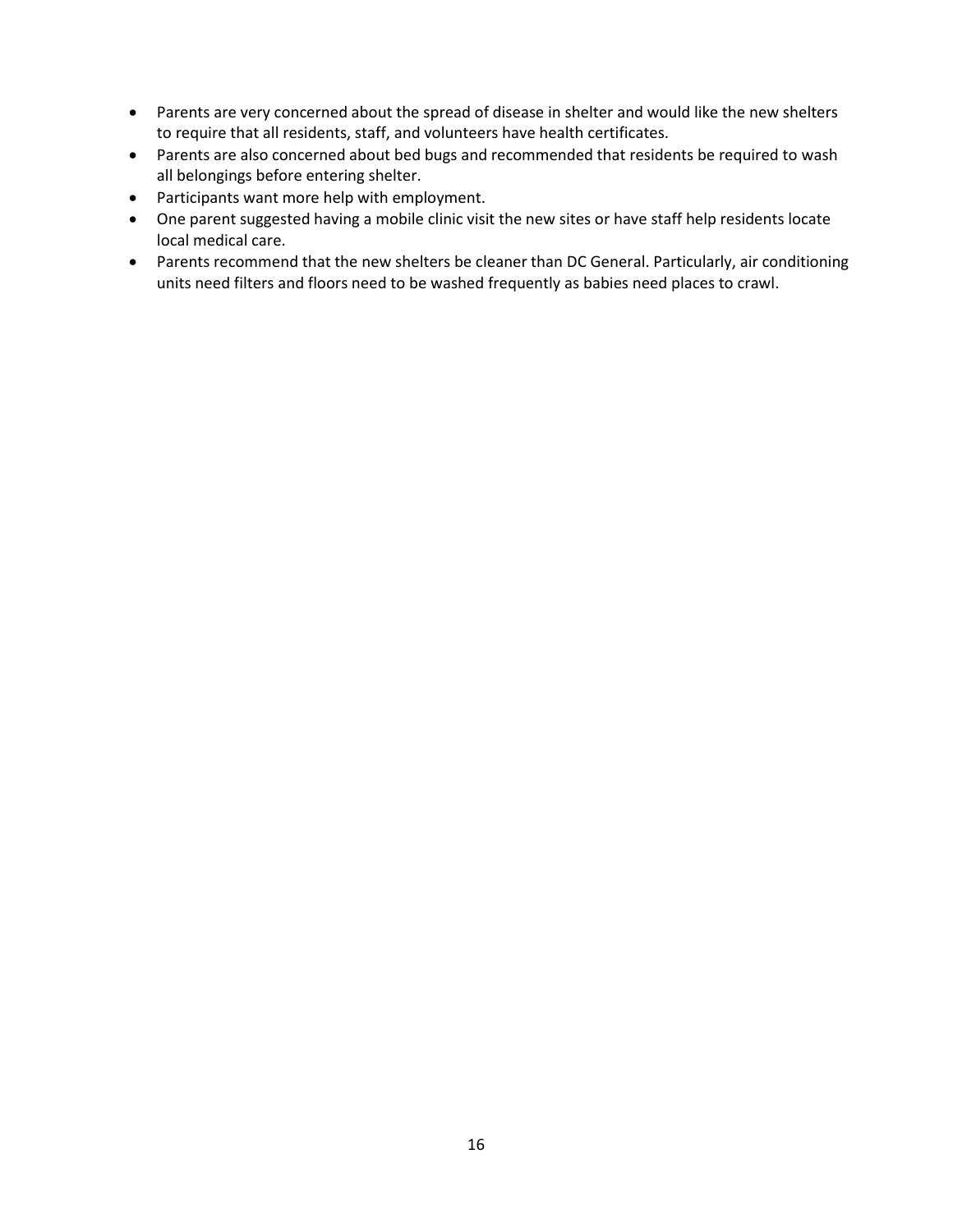- Parents are very concerned about the spread of disease in shelter and would like the new shelters to require that all residents, staff, and volunteers have health certificates.
- Parents are also concerned about bed bugs and recommended that residents be required to wash all belongings before entering shelter.
- Participants want more help with employment.
- One parent suggested having a mobile clinic visit the new sites or have staff help residents locate local medical care.
- Parents recommend that the new shelters be cleaner than DC General. Particularly, air conditioning units need filters and floors need to be washed frequently as babies need places to crawl.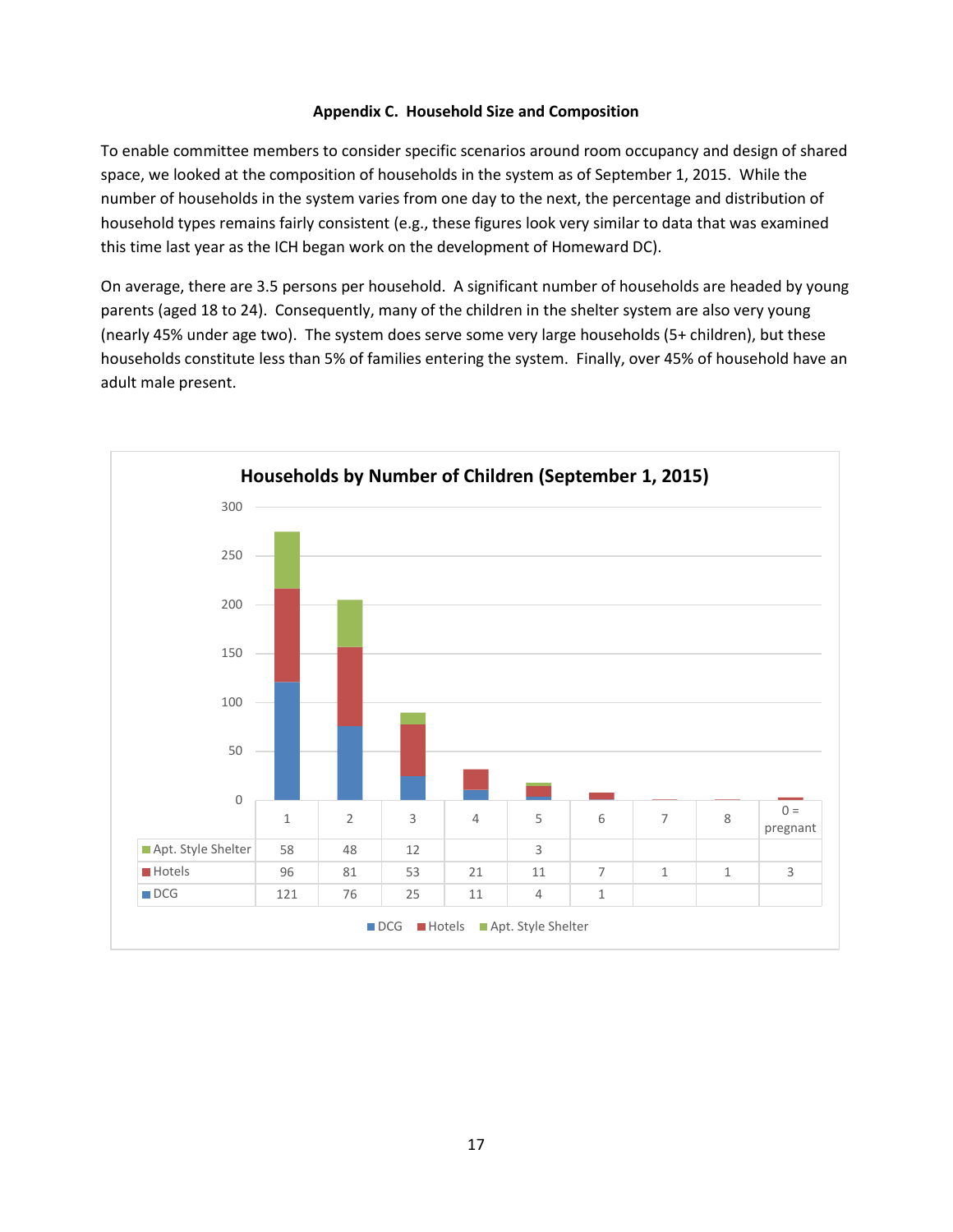#### **Appendix C. Household Size and Composition**

To enable committee members to consider specific scenarios around room occupancy and design of shared space, we looked at the composition of households in the system as of September 1, 2015. While the number of households in the system varies from one day to the next, the percentage and distribution of household types remains fairly consistent (e.g., these figures look very similar to data that was examined this time last year as the ICH began work on the development of Homeward DC).

On average, there are 3.5 persons per household. A significant number of households are headed by young parents (aged 18 to 24). Consequently, many of the children in the shelter system are also very young (nearly 45% under age two). The system does serve some very large households (5+ children), but these households constitute less than 5% of families entering the system. Finally, over 45% of household have an adult male present.

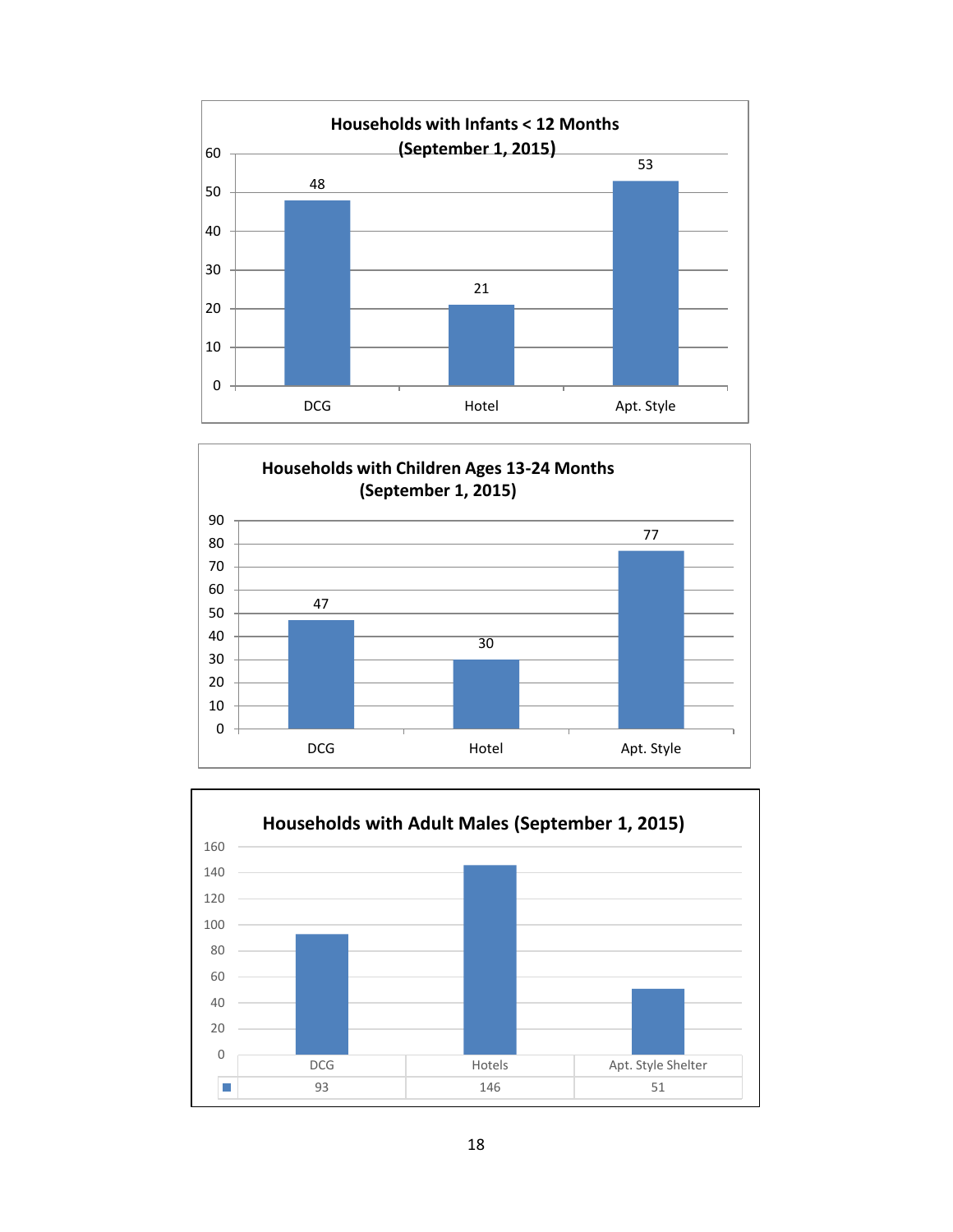